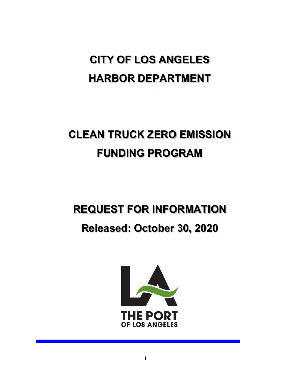# CITY OF LOS ANGELES HARBOR DEPARTMENT

# CLEAN TRUCK ZERO EMISSION FUNDING PROGRAM

## REQUEST FOR INFORMATION

## Released: October 30, 2020

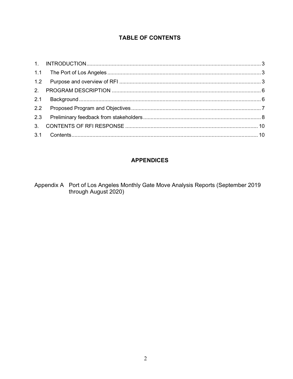#### **TABLE OF CONTENTS**

## **APPENDICES**

Appendix A Port of Los Angeles Monthly Gate Move Analysis Reports (September 2019<br>through August 2020)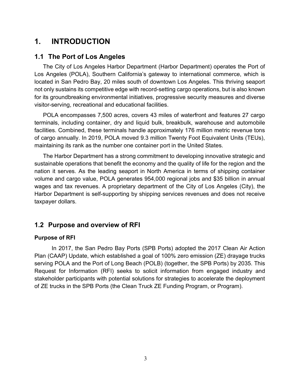## 1. INTRODUCTION

#### 1.1 The Port of Los Angeles

The City of Los Angeles Harbor Department (Harbor Department) operates the Port of Los Angeles (POLA), Southern California's gateway to international commerce, which is located in San Pedro Bay, 20 miles south of downtown Los Angeles. This thriving seaport not only sustains its competitive edge with record-setting cargo operations, but is also known for its groundbreaking environmental initiatives, progressive security measures and diverse visitor-serving, recreational and educational facilities.

POLA encompasses 7,500 acres, covers 43 miles of waterfront and features 27 cargo terminals, including container, dry and liquid bulk, breakbulk, warehouse and automobile facilities. Combined, these terminals handle approximately 176 million metric revenue tons of cargo annually. In 2019, POLA moved 9.3 million Twenty Foot Equivalent Units (TEUs), maintaining its rank as the number one container port in the United States.

The Harbor Department has a strong commitment to developing innovative strategic and sustainable operations that benefit the economy and the quality of life for the region and the nation it serves. As the leading seaport in North America in terms of shipping container volume and cargo value, POLA generates 954,000 regional jobs and \$35 billion in annual wages and tax revenues. A proprietary department of the City of Los Angeles (City), the Harbor Department is self-supporting by shipping services revenues and does not receive taxpayer dollars.

## 1.2 Purpose and overview of RFI

#### Purpose of RFI

In 2017, the San Pedro Bay Ports (SPB Ports) adopted the 2017 Clean Air Action Plan (CAAP) Update, which established a goal of 100% zero emission (ZE) drayage trucks serving POLA and the Port of Long Beach (POLB) (together, the SPB Ports) by 2035. This Request for Information (RFI) seeks to solicit information from engaged industry and stakeholder participants with potential solutions for strategies to accelerate the deployment of ZE trucks in the SPB Ports (the Clean Truck ZE Funding Program, or Program).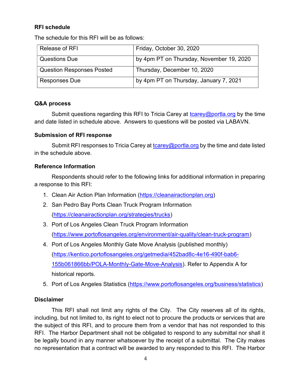#### RFI schedule

The schedule for this RFI will be as follows:

| Release of RFI                   | Friday, October 30, 2020                 |
|----------------------------------|------------------------------------------|
| <b>Questions Due</b>             | by 4pm PT on Thursday, November 19, 2020 |
| <b>Question Responses Posted</b> | Thursday, December 10, 2020              |
| <b>Responses Due</b>             | by 4pm PT on Thursday, January 7, 2021   |

#### Q&A process

Submit questions regarding this RFI to Tricia Carey at  $t$ carey@portla.org by the time and date listed in schedule above. Answers to questions will be posted via LABAVN.

#### Submission of RFI response

Submit RFI responses to Tricia Carey at tcarey@portla.org by the time and date listed in the schedule above.

#### Reference Information

Respondents should refer to the following links for additional information in preparing a response to this RFI:

- 1. Clean Air Action Plan Information (https://cleanairactionplan.org)
- 2. San Pedro Bay Ports Clean Truck Program Information (https://cleanairactionplan.org/strategies/trucks)
- 3. Port of Los Angeles Clean Truck Program Information (https://www.portoflosangeles.org/environment/air-quality/clean-truck-program)
- 4. Port of Los Angeles Monthly Gate Move Analysis (published monthly) (https://kentico.portoflosangeles.org/getmedia/452bad8c-4e16-490f-bab6- 155b061866bb/POLA-Monthly-Gate-Move-Analysis). Refer to Appendix A for historical reports.
- 5. Port of Los Angeles Statistics (https://www.portoflosangeles.org/business/statistics)

#### **Disclaimer**

This RFI shall not limit any rights of the City. The City reserves all of its rights, including, but not limited to, its right to elect not to procure the products or services that are the subject of this RFI, and to procure them from a vendor that has not responded to this RFI. The Harbor Department shall not be obligated to respond to any submittal nor shall it be legally bound in any manner whatsoever by the receipt of a submittal. The City makes no representation that a contract will be awarded to any responded to this RFI. The Harbor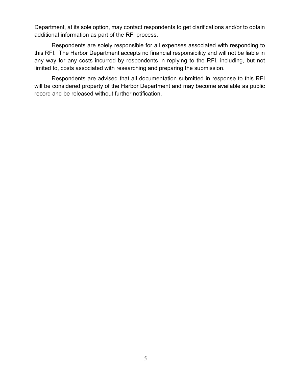Department, at its sole option, may contact respondents to get clarifications and/or to obtain additional information as part of the RFI process.

Respondents are solely responsible for all expenses associated with responding to this RFI. The Harbor Department accepts no financial responsibility and will not be liable in any way for any costs incurred by respondents in replying to the RFI, including, but not limited to, costs associated with researching and preparing the submission.

Respondents are advised that all documentation submitted in response to this RFI will be considered property of the Harbor Department and may become available as public record and be released without further notification.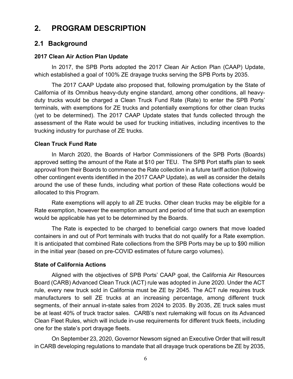## 2. PROGRAM DESCRIPTION

## 2.1 Background

#### 2017 Clean Air Action Plan Update

In 2017, the SPB Ports adopted the 2017 Clean Air Action Plan (CAAP) Update, which established a goal of 100% ZE drayage trucks serving the SPB Ports by 2035.

The 2017 CAAP Update also proposed that, following promulgation by the State of California of its Omnibus heavy-duty engine standard, among other conditions, all heavyduty trucks would be charged a Clean Truck Fund Rate (Rate) to enter the SPB Ports' terminals, with exemptions for ZE trucks and potentially exemptions for other clean trucks (yet to be determined). The 2017 CAAP Update states that funds collected through the assessment of the Rate would be used for trucking initiatives, including incentives to the trucking industry for purchase of ZE trucks.

#### Clean Truck Fund Rate

In March 2020, the Boards of Harbor Commissioners of the SPB Ports (Boards) approved setting the amount of the Rate at \$10 per TEU. The SPB Port staffs plan to seek approval from their Boards to commence the Rate collection in a future tariff action (following other contingent events identified in the 2017 CAAP Update), as well as consider the details around the use of these funds, including what portion of these Rate collections would be allocated to this Program.

Rate exemptions will apply to all ZE trucks. Other clean trucks may be eligible for a Rate exemption, however the exemption amount and period of time that such an exemption would be applicable has yet to be determined by the Boards.

The Rate is expected to be charged to beneficial cargo owners that move loaded containers in and out of Port terminals with trucks that do not qualify for a Rate exemption. It is anticipated that combined Rate collections from the SPB Ports may be up to \$90 million in the initial year (based on pre-COVID estimates of future cargo volumes).

#### State of California Actions

Aligned with the objectives of SPB Ports' CAAP goal, the California Air Resources Board (CARB) Advanced Clean Truck (ACT) rule was adopted in June 2020. Under the ACT rule, every new truck sold in California must be ZE by 2045. The ACT rule requires truck manufacturers to sell ZE trucks at an increasing percentage, among different truck segments, of their annual in-state sales from 2024 to 2035. By 2035, ZE truck sales must be at least 40% of truck tractor sales. CARB's next rulemaking will focus on its Advanced Clean Fleet Rules, which will include in-use requirements for different truck fleets, including one for the state's port drayage fleets.

On September 23, 2020, Governor Newsom signed an Executive Order that will result in CARB developing regulations to mandate that all drayage truck operations be ZE by 2035,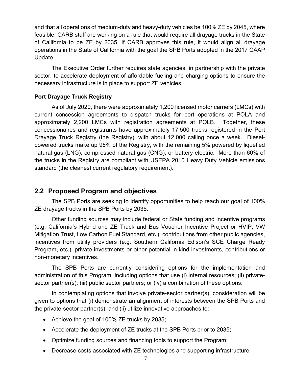and that all operations of medium-duty and heavy-duty vehicles be 100% ZE by 2045, where feasible. CARB staff are working on a rule that would require all drayage trucks in the State of California to be ZE by 2035. If CARB approves this rule, it would align all drayage operations in the State of California with the goal the SPB Ports adopted in the 2017 CAAP Update.

The Executive Order further requires state agencies, in partnership with the private sector, to accelerate deployment of affordable fueling and charging options to ensure the necessary infrastructure is in place to support ZE vehicles.

#### Port Drayage Truck Registry

As of July 2020, there were approximately 1,200 licensed motor carriers (LMCs) with current concession agreements to dispatch trucks for port operations at POLA and approximately 2,200 LMCs with registration agreements at POLB. Together, these concessionaires and registrants have approximately 17,500 trucks registered in the Port Drayage Truck Registry (the Registry), with about 12,000 calling once a week. Dieselpowered trucks make up 95% of the Registry, with the remaining 5% powered by liquefied natural gas (LNG), compressed natural gas (CNG), or battery electric. More than 60% of the trucks in the Registry are compliant with USEPA 2010 Heavy Duty Vehicle emissions standard (the cleanest current regulatory requirement).

## 2.2 Proposed Program and objectives

The SPB Ports are seeking to identify opportunities to help reach our goal of 100% ZE drayage trucks in the SPB Ports by 2035.

Other funding sources may include federal or State funding and incentive programs (e.g. California's Hybrid and ZE Truck and Bus Voucher Incentive Project or HVIP, VW Mitigation Trust, Low Carbon Fuel Standard, etc.), contributions from other public agencies, incentives from utility providers (e.g. Southern California Edison's SCE Charge Ready Program, etc.), private investments or other potential in-kind investments, contributions or non-monetary incentives.

The SPB Ports are currently considering options for the implementation and administration of this Program, including options that use (i) internal resources; (ii) privatesector partner(s); (iii) public sector partners; or (iv) a combination of these options.

In contemplating options that involve private-sector partner(s), consideration will be given to options that (i) demonstrate an alignment of interests between the SPB Ports and the private-sector partner(s); and (ii) utilize innovative approaches to:

- Achieve the goal of 100% ZE trucks by 2035;
- Accelerate the deployment of ZE trucks at the SPB Ports prior to 2035;
- Optimize funding sources and financing tools to support the Program;
- Decrease costs associated with ZE technologies and supporting infrastructure;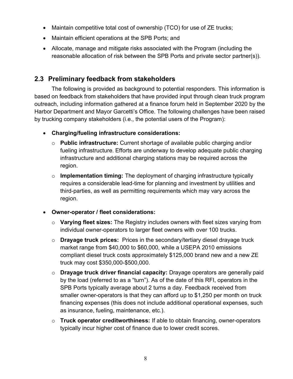- Maintain competitive total cost of ownership (TCO) for use of ZE trucks;
- Maintain efficient operations at the SPB Ports; and
- Allocate, manage and mitigate risks associated with the Program (including the reasonable allocation of risk between the SPB Ports and private sector partner(s)).

## 2.3 Preliminary feedback from stakeholders

The following is provided as background to potential responders. This information is based on feedback from stakeholders that have provided input through clean truck program outreach, including information gathered at a finance forum held in September 2020 by the Harbor Department and Mayor Garcetti's Office. The following challenges have been raised by trucking company stakeholders (i.e., the potential users of the Program):

- Charging/fueling infrastructure considerations:
	- $\circ$  Public infrastructure: Current shortage of available public charging and/or fueling infrastructure. Efforts are underway to develop adequate public charging infrastructure and additional charging stations may be required across the region.
	- $\circ$  Implementation timing: The deployment of charging infrastructure typically requires a considerable lead-time for planning and investment by utilities and third-parties, as well as permitting requirements which may vary across the region.

#### Owner-operator / fleet considerations:

- $\circ$  Varying fleet sizes: The Registry includes owners with fleet sizes varying from individual owner-operators to larger fleet owners with over 100 trucks.
- $\circ$  Drayage truck prices: Prices in the secondary/tertiary diesel drayage truck market range from \$40,000 to \$60,000, while a USEPA 2010 emissions compliant diesel truck costs approximately \$125,000 brand new and a new ZE truck may cost \$350,000-\$500,000.
- o Drayage truck driver financial capacity: Drayage operators are generally paid by the load (referred to as a "turn"). As of the date of this RFI, operators in the SPB Ports typically average about 2 turns a day. Feedback received from smaller owner-operators is that they can afford up to \$1,250 per month on truck financing expenses (this does not include additional operational expenses, such as insurance, fueling, maintenance, etc.).
- $\circ$  Truck operator creditworthiness: If able to obtain financing, owner-operators typically incur higher cost of finance due to lower credit scores.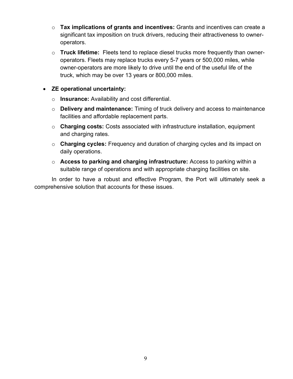- $\circ$  Tax implications of grants and incentives: Grants and incentives can create a significant tax imposition on truck drivers, reducing their attractiveness to owneroperators.
- $\circ$  Truck lifetime: Fleets tend to replace diesel trucks more frequently than owneroperators. Fleets may replace trucks every 5-7 years or 500,000 miles, while owner-operators are more likely to drive until the end of the useful life of the truck, which may be over 13 years or 800,000 miles.

#### ZE operational uncertainty:

- o **Insurance:** Availability and cost differential.
- $\circ$  Delivery and maintenance: Timing of truck delivery and access to maintenance facilities and affordable replacement parts.
- o Charging costs: Costs associated with infrastructure installation, equipment and charging rates.
- $\circ$  Charging cycles: Frequency and duration of charging cycles and its impact on daily operations.
- $\circ$  Access to parking and charging infrastructure: Access to parking within a suitable range of operations and with appropriate charging facilities on site.

In order to have a robust and effective Program, the Port will ultimately seek a comprehensive solution that accounts for these issues.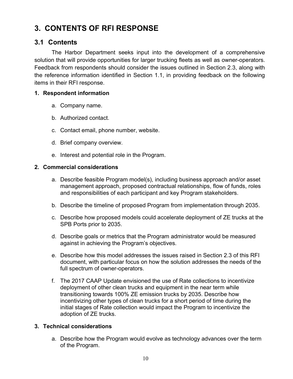## 3. CONTENTS OF RFI RESPONSE

## 3.1 Contents

The Harbor Department seeks input into the development of a comprehensive solution that will provide opportunities for larger trucking fleets as well as owner-operators. Feedback from respondents should consider the issues outlined in Section 2.3, along with the reference information identified in Section 1.1, in providing feedback on the following items in their RFI response.

#### 1. Respondent information

- a. Company name.
- b. Authorized contact.
- c. Contact email, phone number, website.
- d. Brief company overview.
- e. Interest and potential role in the Program.

#### 2. Commercial considerations

- a. Describe feasible Program model(s), including business approach and/or asset management approach, proposed contractual relationships, flow of funds, roles and responsibilities of each participant and key Program stakeholders.
- b. Describe the timeline of proposed Program from implementation through 2035.
- c. Describe how proposed models could accelerate deployment of ZE trucks at the SPB Ports prior to 2035.
- d. Describe goals or metrics that the Program administrator would be measured against in achieving the Program's objectives.
- e. Describe how this model addresses the issues raised in Section 2.3 of this RFI document, with particular focus on how the solution addresses the needs of the full spectrum of owner-operators.
- f. The 2017 CAAP Update envisioned the use of Rate collections to incentivize deployment of other clean trucks and equipment in the near term while transitioning towards 100% ZE emission trucks by 2035. Describe how incentivizing other types of clean trucks for a short period of time during the initial stages of Rate collection would impact the Program to incentivize the adoption of ZE trucks.

#### 3. Technical considerations

a. Describe how the Program would evolve as technology advances over the term of the Program.